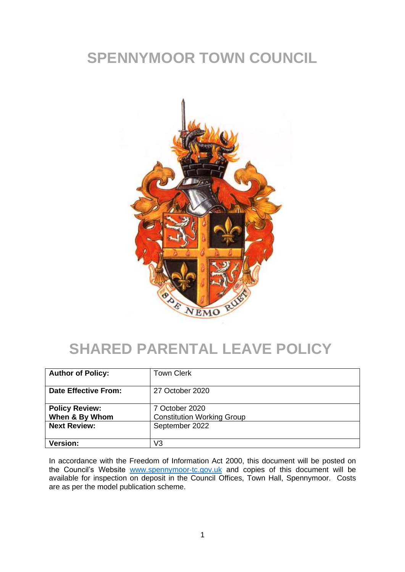# **SPENNYMOOR TOWN COUNCIL**



# **SHARED PARENTAL LEAVE POLICY**

| <b>Author of Policy:</b>                | <b>Town Clerk</b>                                   |
|-----------------------------------------|-----------------------------------------------------|
| Date Effective From:                    | 27 October 2020                                     |
| <b>Policy Review:</b><br>When & By Whom | 7 October 2020<br><b>Constitution Working Group</b> |
| <b>Next Review:</b>                     | September 2022                                      |
| <b>Version:</b>                         | V3                                                  |

In accordance with the Freedom of Information Act 2000, this document will be posted on the Council's Website [www.spennymoor-tc.gov.uk](http://www.spennymoor-tc.gov.uk/) and copies of this document will be available for inspection on deposit in the Council Offices, Town Hall, Spennymoor. Costs are as per the model publication scheme.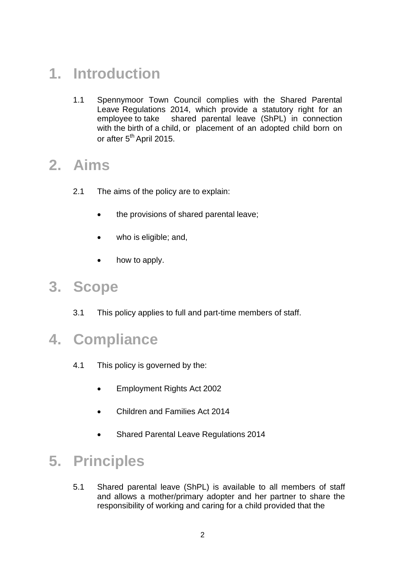# **1. Introduction**

1.1 Spennymoor Town Council complies with the Shared Parental Leave Regulations 2014, which provide a statutory right for an employee to take shared parental leave (ShPL) in connection with the birth of a child, or placement of an adopted child born on or after 5<sup>th</sup> April 2015.

#### **2. Aims**

- 2.1 The aims of the policy are to explain:
	- the provisions of shared parental leave;
	- who is eligible; and,
	- how to apply.

#### **3. Scope**

3.1 This policy applies to full and part-time members of staff.

#### **4. Compliance**

- 4.1 This policy is governed by the:
	- Employment Rights Act 2002
	- Children and Families Act 2014
	- Shared Parental Leave Regulations 2014

## **5. Principles**

5.1 Shared parental leave (ShPL) is available to all members of staff and allows a mother/primary adopter and her partner to share the responsibility of working and caring for a child provided that the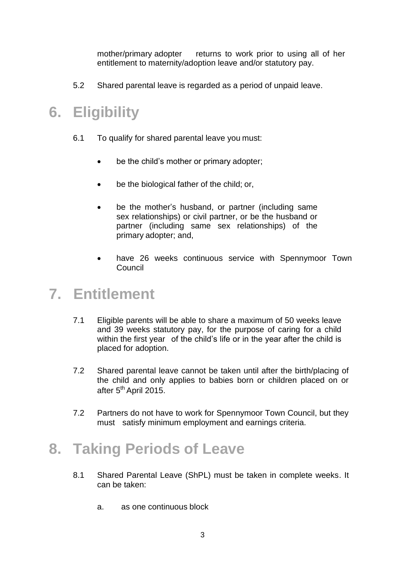mother/primary adopter returns to work prior to using all of her entitlement to maternity/adoption leave and/or statutory pay.

5.2 Shared parental leave is regarded as a period of unpaid leave.

# **6. Eligibility**

- 6.1 To qualify for shared parental leave you must:
	- be the child's mother or primary adopter;
	- be the biological father of the child; or,
	- be the mother's husband, or partner (including same sex relationships) or civil partner, or be the husband or partner (including same sex relationships) of the primary adopter; and,
	- have 26 weeks continuous service with Spennymoor Town **Council**

#### **7. Entitlement**

- 7.1 Eligible parents will be able to share a maximum of 50 weeks leave and 39 weeks statutory pay, for the purpose of caring for a child within the first year of the child's life or in the year after the child is placed for adoption.
- 7.2 Shared parental leave cannot be taken until after the birth/placing of the child and only applies to babies born or children placed on or after 5<sup>th</sup> April 2015.
- 7.2 Partners do not have to work for Spennymoor Town Council, but they must satisfy minimum employment and earnings criteria.

# **8. Taking Periods of Leave**

- 8.1 Shared Parental Leave (ShPL) must be taken in complete weeks. It can be taken:
	- a. as one continuous block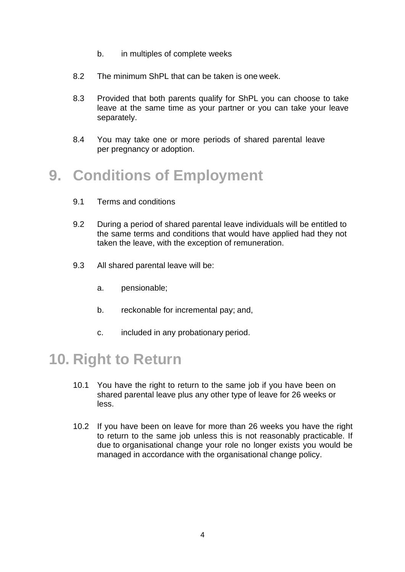- b. in multiples of complete weeks
- 8.2 The minimum ShPL that can be taken is one week.
- 8.3 Provided that both parents qualify for ShPL you can choose to take leave at the same time as your partner or you can take your leave separately.
- 8.4 You may take one or more periods of shared parental leave per pregnancy or adoption.

# **9. Conditions of Employment**

- 9.1 Terms and conditions
- 9.2 During a period of shared parental leave individuals will be entitled to the same terms and conditions that would have applied had they not taken the leave, with the exception of remuneration.
- 9.3 All shared parental leave will be:
	- a. pensionable;
	- b. reckonable for incremental pay; and,
	- c. included in any probationary period.

#### **10. Right to Return**

- 10.1 You have the right to return to the same job if you have been on shared parental leave plus any other type of leave for 26 weeks or less.
- 10.2 If you have been on leave for more than 26 weeks you have the right to return to the same job unless this is not reasonably practicable. If due to organisational change your role no longer exists you would be managed in accordance with the organisational change policy.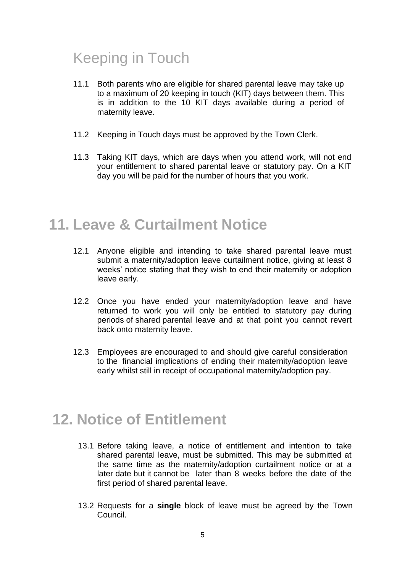# Keeping in Touch

- 11.1 Both parents who are eligible for shared parental leave may take up to a maximum of 20 keeping in touch (KIT) days between them. This is in addition to the 10 KIT days available during a period of maternity leave.
- 11.2 Keeping in Touch days must be approved by the Town Clerk.
- 11.3 Taking KIT days, which are days when you attend work, will not end your entitlement to shared parental leave or statutory pay. On a KIT day you will be paid for the number of hours that you work.

## **11. Leave & Curtailment Notice**

- 12.1 Anyone eligible and intending to take shared parental leave must submit a maternity/adoption leave curtailment notice, giving at least 8 weeks' notice stating that they wish to end their maternity or adoption leave early.
- 12.2 Once you have ended your maternity/adoption leave and have returned to work you will only be entitled to statutory pay during periods of shared parental leave and at that point you cannot revert back onto maternity leave.
- 12.3 Employees are encouraged to and should give careful consideration to the financial implications of ending their maternity/adoption leave early whilst still in receipt of occupational maternity/adoption pay.

# **12. Notice of Entitlement**

- 13.1 Before taking leave, a notice of entitlement and intention to take shared parental leave, must be submitted. This may be submitted at the same time as the maternity/adoption curtailment notice or at a later date but it cannot be later than 8 weeks before the date of the first period of shared parental leave.
- 13.2 Requests for a **single** block of leave must be agreed by the Town Council.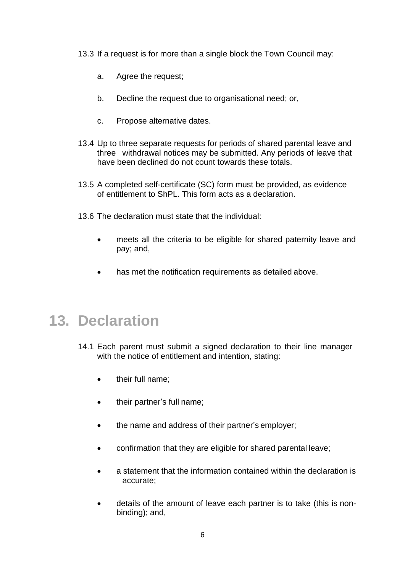13.3 If a request is for more than a single block the Town Council may:

- a. Agree the request;
- b. Decline the request due to organisational need; or,
- c. Propose alternative dates.
- 13.4 Up to three separate requests for periods of shared parental leave and three withdrawal notices may be submitted. Any periods of leave that have been declined do not count towards these totals.
- 13.5 A completed self-certificate (SC) form must be provided, as evidence of entitlement to ShPL. This form acts as a declaration.
- 13.6 The declaration must state that the individual:
	- meets all the criteria to be eligible for shared paternity leave and pay; and,
	- has met the notification requirements as detailed above.

## **13. Declaration**

- 14.1 Each parent must submit a signed declaration to their line manager with the notice of entitlement and intention, stating:
	- their full name:
	- their partner's full name;
	- the name and address of their partner's employer;
	- confirmation that they are eligible for shared parental leave;
	- a statement that the information contained within the declaration is accurate;
	- details of the amount of leave each partner is to take (this is nonbinding); and,